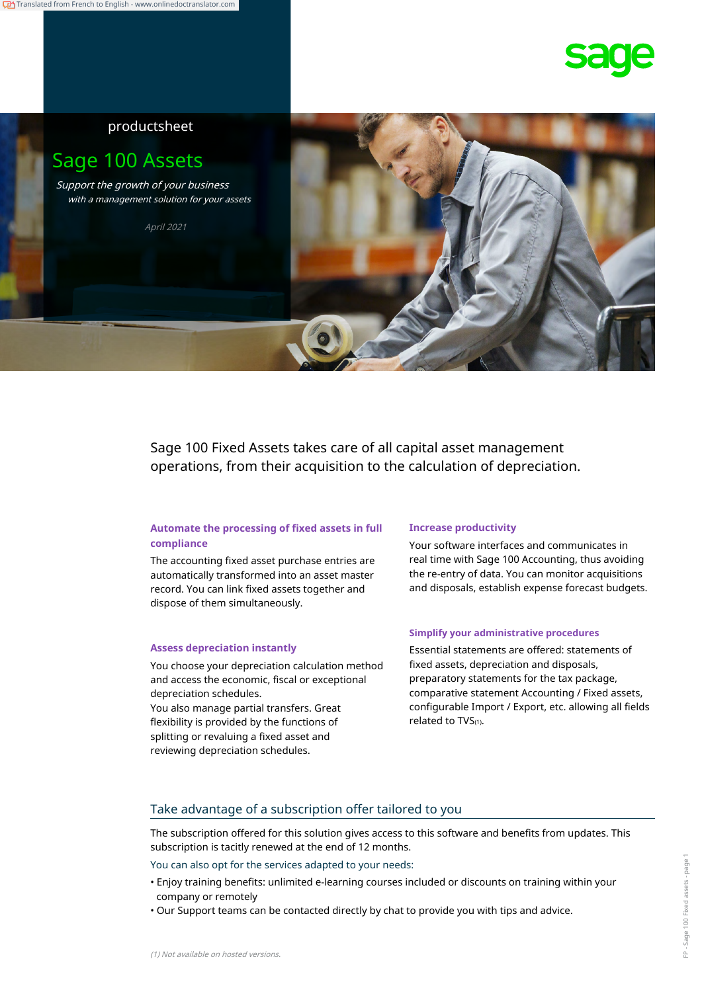## productsheet

# Sage 100 Assets

Support the growth of your business with a management solution for your assets

April 2021



Sage 100 Fixed Assets takes care of all capital asset management operations, from their acquisition to the calculation of depreciation.

### **Automate the processing of fixed assets in full compliance**

The accounting fixed asset purchase entries are automatically transformed into an asset master record. You can link fixed assets together and dispose of them simultaneously.

You choose your depreciation calculation method and access the economic, fiscal or exceptional depreciation schedules.

You also manage partial transfers. Great flexibility is provided by the functions of splitting or revaluing a fixed asset and reviewing depreciation schedules.

### **Increase productivity**

Your software interfaces and communicates in real time with Sage 100 Accounting, thus avoiding the re-entry of data. You can monitor acquisitions and disposals, establish expense forecast budgets.

### **Simplify your administrative procedures**

Assess depreciation instantly **Essential statements are offered: statements of** fixed assets, depreciation and disposals, preparatory statements for the tax package, comparative statement Accounting / Fixed assets, configurable Import / Export, etc. allowing all fields related to TVS(1).

## Take advantage of a subscription offer tailored to you

The subscription offered for this solution gives access to this software and benefits from updates. This subscription is tacitly renewed at the end of 12 months.

You can also opt for the services adapted to your needs:

- Enjoy training benefits: unlimited e-learning courses included or discounts on training within your company or remotely
- Our Support teams can be contacted directly by chat to provide you with tips and advice.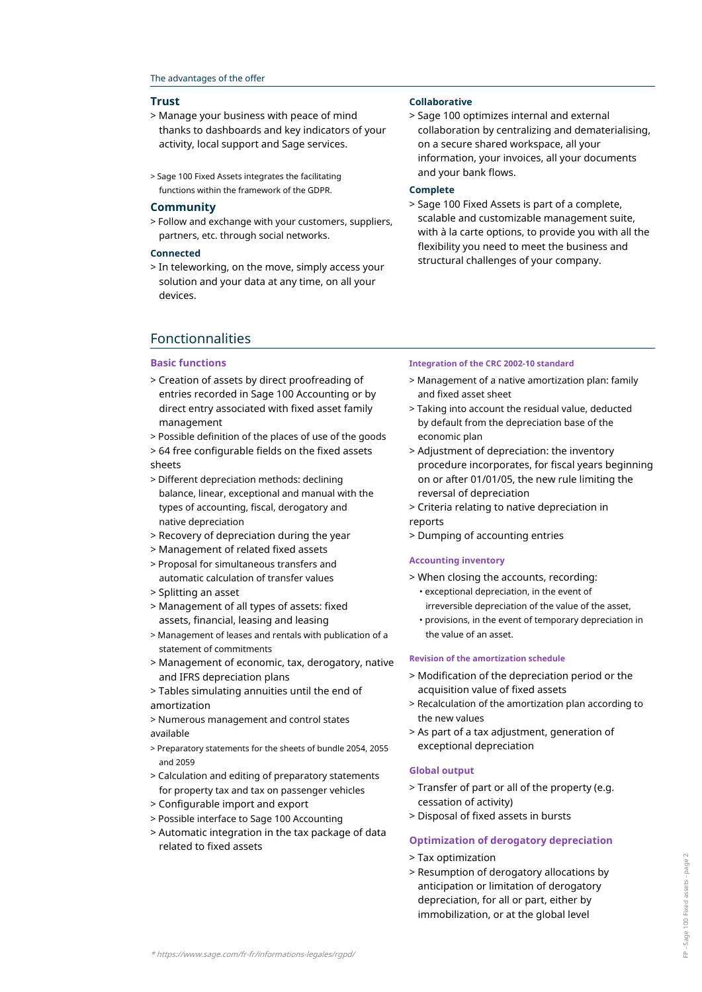### The advantages of the offer

- > Manage your business with peace of mind thanks to dashboards and key indicators of your activity, local support and Sage services.
- and your bank flows. > Sage 100 Fixed Assets integrates the facilitating functions within the framework of the GDPR. **Complete**

> Follow and exchange with your customers, suppliers, partners, etc. through social networks.

### **Connected**

> In teleworking, on the move, simply access your solution and your data at any time, on all your devices.

### **Trust Collaborative**

> Sage 100 optimizes internal and external collaboration by centralizing and dematerialising, on a secure shared workspace, all your information, your invoices, all your documents

**Community** > Sage 100 Fixed Assets is part of a complete, scalable and customizable management suite, with à la carte options, to provide you with all the flexibility you need to meet the business and structural challenges of your company.

## Fonctionnalities

> Creation of assets by direct proofreading of entries recorded in Sage 100 Accounting or by direct entry associated with fixed asset family management

> Possible definition of the places of use of the goods

> 64 free configurable fields on the fixed assets sheets

- > Different depreciation methods: declining balance, linear, exceptional and manual with the types of accounting, fiscal, derogatory and native depreciation
- > Recovery of depreciation during the year
- > Management of related fixed assets
- > Proposal for simultaneous transfers and automatic calculation of transfer values
- > Splitting an asset
- > Management of all types of assets: fixed assets, financial, leasing and leasing
- > Management of leases and rentals with publication of a statement of commitments
- > Management of economic, tax, derogatory, native and IFRS depreciation plans
- > Tables simulating annuities until the end of amortization
- > Numerous management and control states available
- > Preparatory statements for the sheets of bundle 2054, 2055 and 2059
- > Calculation and editing of preparatory statements for property tax and tax on passenger vehicles
- > Configurable import and export
- > Possible interface to Sage 100 Accounting
- > Automatic integration in the tax package of data related to fixed assets

### **Basic functions Integration of the CRC 2002-10 standard**

- > Management of a native amortization plan: family and fixed asset sheet
- > Taking into account the residual value, deducted by default from the depreciation base of the economic plan
- > Adjustment of depreciation: the inventory procedure incorporates, for fiscal years beginning on or after 01/01/05, the new rule limiting the reversal of depreciation
- > Criteria relating to native depreciation in reports
- > Dumping of accounting entries

### **Accounting inventory**

> When closing the accounts, recording:

- exceptional depreciation, in the event of irreversible depreciation of the value of the asset,
- provisions, in the event of temporary depreciation in the value of an asset.

### **Revision of the amortization schedule**

- > Modification of the depreciation period or the acquisition value of fixed assets
- > Recalculation of the amortization plan according to the new values
- > As part of a tax adjustment, generation of exceptional depreciation

### **Global output**

- > Transfer of part or all of the property (e.g. cessation of activity)
- > Disposal of fixed assets in bursts

### **Optimization of derogatory depreciation**

- > Tax optimization
- > Resumption of derogatory allocations by anticipation or limitation of derogatory depreciation, for all or part, either by immobilization, or at the global level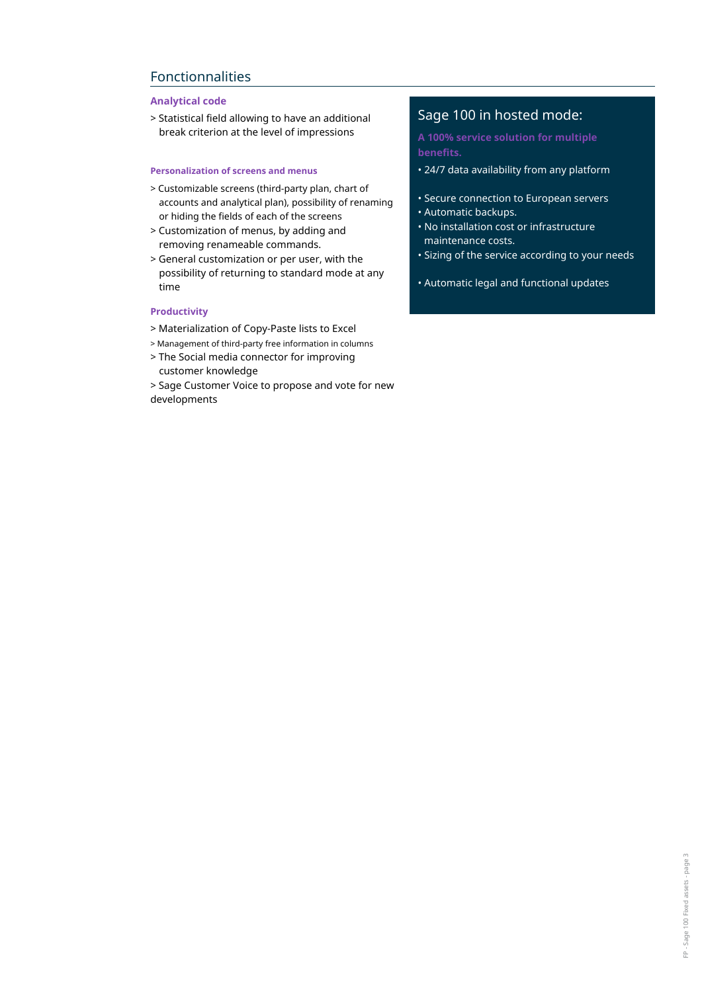## Fonctionnalities

## **Analytical code**

> Statistical field allowing to have an additional break criterion at the level of impressions

- > Customizable screens (third-party plan, chart of accounts and analytical plan), possibility of renaming or hiding the fields of each of the screens
- > Customization of menus, by adding and removing renameable commands.
- > General customization or per user, with the possibility of returning to standard mode at any time

### **Productivity**

- > Materialization of Copy-Paste lists to Excel
- > Management of third-party free information in columns
- > The Social media connector for improving customer knowledge
- > Sage Customer Voice to propose and vote for new developments

## Sage 100 in hosted mode:

**A 100% service solution for multiple benefits.**

- **Personalization of screens and menus 1988** 24/7 data availability from any platform
	- Secure connection to European servers
	- Automatic backups.
	- No installation cost or infrastructure maintenance costs.
	- Sizing of the service according to your needs
	- Automatic legal and functional updates